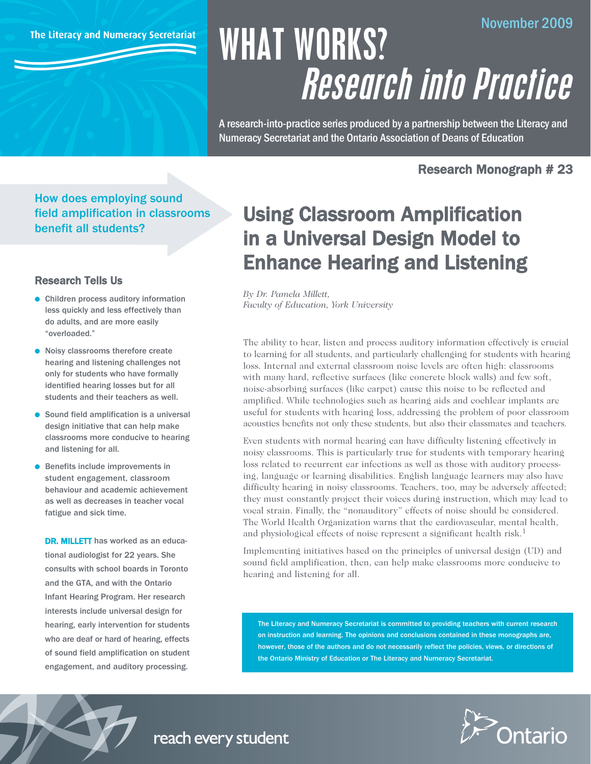**The Literacy and Numeracy Secretariat**

# November 2009 WHAT WORKS? Research into Practice

A research-into-practice series produced by a partnership between the Literacy and Numeracy Secretariat and the Ontario Association of Deans of Education

## Research Monograph # 23

## How does employing sound field amplification in classrooms benefit all students?

### Research Tells Us

- Children process auditory information less quickly and less effectively than do adults, and are more easily "overloaded."
- Noisy classrooms therefore create hearing and listening challenges not only for students who have formally identified hearing losses but for all students and their teachers as well.
- Sound field amplification is a universal design initiative that can help make classrooms more conducive to hearing and listening for all.
- Benefits include improvements in student engagement, classroom behaviour and academic achievement as well as decreases in teacher vocal fatigue and sick time.

DR. MILLETT has worked as an educational audiologist for 22 years. She consults with school boards in Toronto and the GTA, and with the Ontario Infant Hearing Program. Her research interests include universal design for hearing, early intervention for students who are deaf or hard of hearing, effects of sound field amplification on student engagement, and auditory processing.

## Using Classroom Amplification in a Universal Design Model to Enhance Hearing and Listening

*By Dr. Pamela Millett, Faculty of Education, York University*

The ability to hear, listen and process auditory information effectively is crucial to learning for all students, and particularly challenging for students with hearing loss. Internal and external classroom noise levels are often high: classrooms with many hard, reflective surfaces (like concrete block walls) and few soft, noise-absorbing surfaces (like carpet) cause this noise to be reflected and amplified. While technologies such as hearing aids and cochlear implants are useful for students with hearing loss, addressing the problem of poor classroom acoustics benefits not only these students, but also their classmates and teachers.

Even students with normal hearing can have difficulty listening effectively in noisy classrooms. This is particularly true for students with temporary hearing loss related to recurrent ear infections as well as those with auditory processing, language or learning disabilities. English language learners may also have difficulty hearing in noisy classrooms. Teachers, too, may be adversely affected; they must constantly project their voices during instruction, which may lead to vocal strain. Finally, the "nonauditory" effects of noise should be considered. The World Health Organization warns that the cardiovascular, mental health, and physiological effects of noise represent a significant health risk.<sup>1</sup>

Implementing initiatives based on the principles of universal design (UD) and sound field amplification, then, can help make classrooms more conducive to hearing and listening for all.

The Literacy and Numeracy Secretariat is committed to providing teachers with current research on instruction and learning. The opinions and conclusions contained in these monographs are, however, those of the authors and do not necessarily reflect the policies, views, or directions of the Ontario Ministry of Education or The Literacy and Numeracy Secretariat.



## reach every student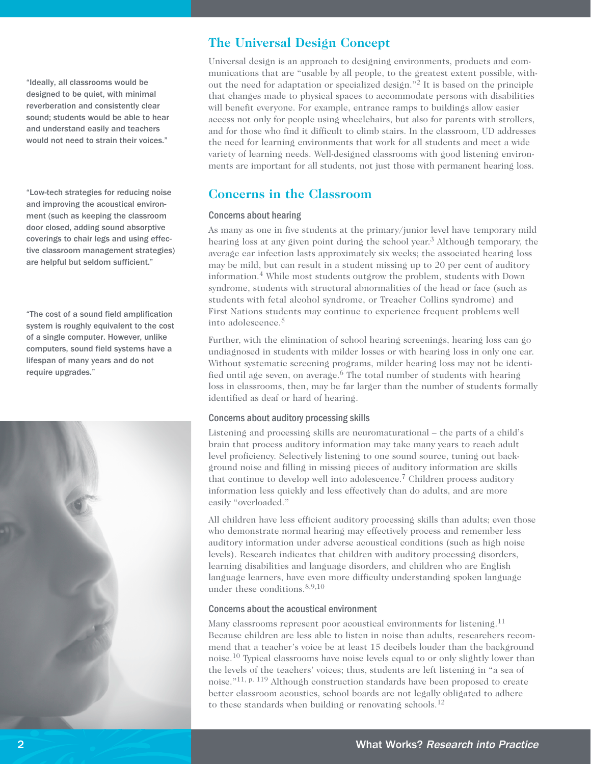"Ideally, all classrooms would be designed to be quiet, with minimal reverberation and consistently clear sound; students would be able to hear and understand easily and teachers would not need to strain their voices."

"Low-tech strategies for reducing noise and improving the acoustical environment (such as keeping the classroom door closed, adding sound absorptive coverings to chair legs and using effective classroom management strategies) are helpful but seldom sufficient."

"The cost of a sound field amplification system is roughly equivalent to the cost of a single computer. However, unlike computers, sound field systems have a lifespan of many years and do not require upgrades."



## **The Universal Design Concept**

Universal design is an approach to designing environments, products and communications that are "usable by all people, to the greatest extent possible, without the need for adaptation or specialized design."<sup>2</sup> It is based on the principle that changes made to physical spaces to accommodate persons with disabilities will benefit everyone. For example, entrance ramps to buildings allow easier access not only for people using wheelchairs, but also for parents with strollers, and for those who find it difficult to climb stairs. In the classroom, UD addresses the need for learning environments that work for all students and meet a wide variety of learning needs. Well-designed classrooms with good listening environments are important for all students, not just those with permanent hearing loss.

## **Concerns in the Classroom**

#### Concerns about hearing

As many as one in five students at the primary/junior level have temporary mild hearing loss at any given point during the school year.<sup>3</sup> Although temporary, the average ear infection lasts approximately six weeks; the associated hearing loss may be mild, but can result in a student missing up to 20 per cent of auditory information.4 While most students outgrow the problem, students with Down syndrome, students with structural abnormalities of the head or face (such as students with fetal alcohol syndrome, or Treacher Collins syndrome) and First Nations students may continue to experience frequent problems well into adolescence.<sup>5</sup>

Further, with the elimination of school hearing screenings, hearing loss can go undiagnosed in students with milder losses or with hearing loss in only one ear. Without systematic screening programs, milder hearing loss may not be identified until age seven, on average.<sup>6</sup> The total number of students with hearing loss in classrooms, then, may be far larger than the number of students formally identified as deaf or hard of hearing.

#### Concerns about auditory processing skills

Listening and processing skills are neuromaturational – the parts of a child's brain that process auditory information may take many years to reach adult level proficiency. Selectively listening to one sound source, tuning out background noise and filling in missing pieces of auditory information are skills that continue to develop well into adolescence.<sup>7</sup> Children process auditory information less quickly and less effectively than do adults, and are more easily "overloaded."

All children have less efficient auditory processing skills than adults; even those who demonstrate normal hearing may effectively process and remember less auditory information under adverse acoustical conditions (such as high noise levels). Research indicates that children with auditory processing disorders, learning disabilities and language disorders, and children who are English language learners, have even more difficulty understanding spoken language under these conditions.  $8,9,10$ 

#### Concerns about the acoustical environment

Many classrooms represent poor acoustical environments for listening.<sup>11</sup> Because children are less able to listen in noise than adults, researchers recommend that a teacher's voice be at least 15 decibels louder than the background noise.<sup>10</sup> Typical classrooms have noise levels equal to or only slightly lower than the levels of the teachers' voices; thus, students are left listening in "a sea of noise."<sup>11, p. 119</sup> Although construction standards have been proposed to create better classroom acoustics, school boards are not legally obligated to adhere to these standards when building or renovating schools.<sup>12</sup>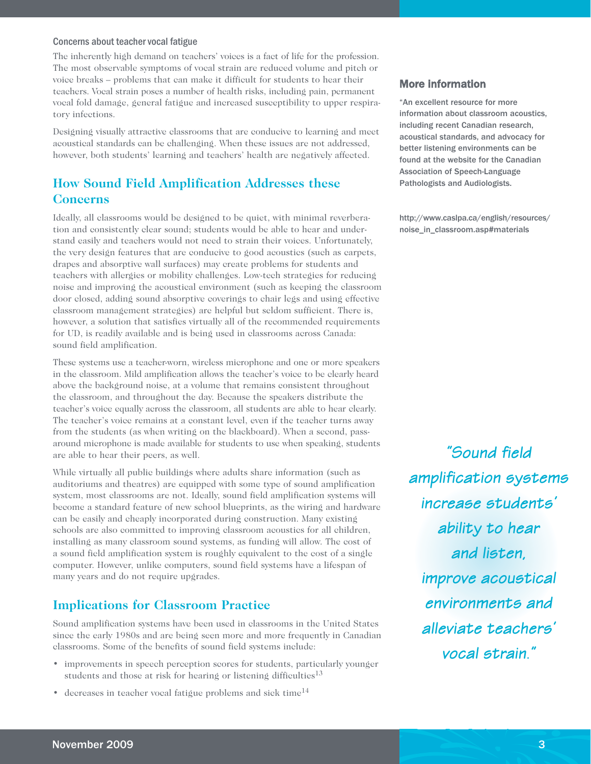#### Concerns about teacher vocal fatigue

The inherently high demand on teachers' voices is a fact of life for the profession. The most observable symptoms of vocal strain are reduced volume and pitch or voice breaks – problems that can make it difficult for students to hear their teachers. Vocal strain poses a number of health risks, including pain, permanent vocal fold damage, general fatigue and increased susceptibility to upper respiratory infections.

Designing visually attractive classrooms that are conducive to learning and meet acoustical standards can be challenging. When these issues are not addressed, however, both students' learning and teachers' health are negatively affected.

## **How Sound Field Amplification Addresses these Concerns**

Ideally, all classrooms would be designed to be quiet, with minimal reverberation and consistently clear sound; students would be able to hear and understand easily and teachers would not need to strain their voices. Unfortunately, the very design features that are conducive to good acoustics (such as carpets, drapes and absorptive wall surfaces) may create problems for students and teachers with allergies or mobility challenges. Low-tech strategies for reducing noise and improving the acoustical environment (such as keeping the classroom door closed, adding sound absorptive coverings to chair legs and using effective classroom management strategies) are helpful but seldom sufficient. There is, however, a solution that satisfies virtually all of the recommended requirements for UD, is readily available and is being used in classrooms across Canada: sound field amplification.

These systems use a teacher-worn, wireless microphone and one or more speakers in the classroom. Mild amplification allows the teacher's voice to be clearly heard above the background noise, at a volume that remains consistent throughout the classroom, and throughout the day. Because the speakers distribute the teacher's voice equally across the classroom, all students are able to hear clearly. The teacher's voice remains at a constant level, even if the teacher turns away from the students (as when writing on the blackboard). When a second, passaround microphone is made available for students to use when speaking, students are able to hear their peers, as well.

While virtually all public buildings where adults share information (such as auditoriums and theatres) are equipped with some type of sound amplification system, most classrooms are not. Ideally, sound field amplification systems will become a standard feature of new school blueprints, as the wiring and hardware can be easily and cheaply incorporated during construction. Many existing schools are also committed to improving classroom acoustics for all children, installing as many classroom sound systems, as funding will allow. The cost of a sound field amplification system is roughly equivalent to the cost of a single computer. However, unlike computers, sound field systems have a lifespan of many years and do not require upgrades.

## **Implications for Classroom Practice**

Sound amplification systems have been used in classrooms in the United States since the early 1980s and are being seen more and more frequently in Canadian classrooms. Some of the benefits of sound field systems include:

- improvements in speech perception scores for students, particularly younger students and those at risk for hearing or listening difficulties<sup>13</sup>
- $\bullet$  decreases in teacher vocal fatigue problems and sick time<sup>14</sup>

#### More information

"An excellent resource for more information about classroom acoustics, including recent Canadian research, acoustical standards, and advocacy for better listening environments can be found at the website for the Canadian Association of Speech-Language Pathologists and Audiologists.

http://www.caslpa.ca/english/resources/ noise\_in\_classroom.asp#materials

**"Sound field amplification systems increase students' ability to hear and listen, improve acoustical environments and alleviate teachers' vocal strain."**